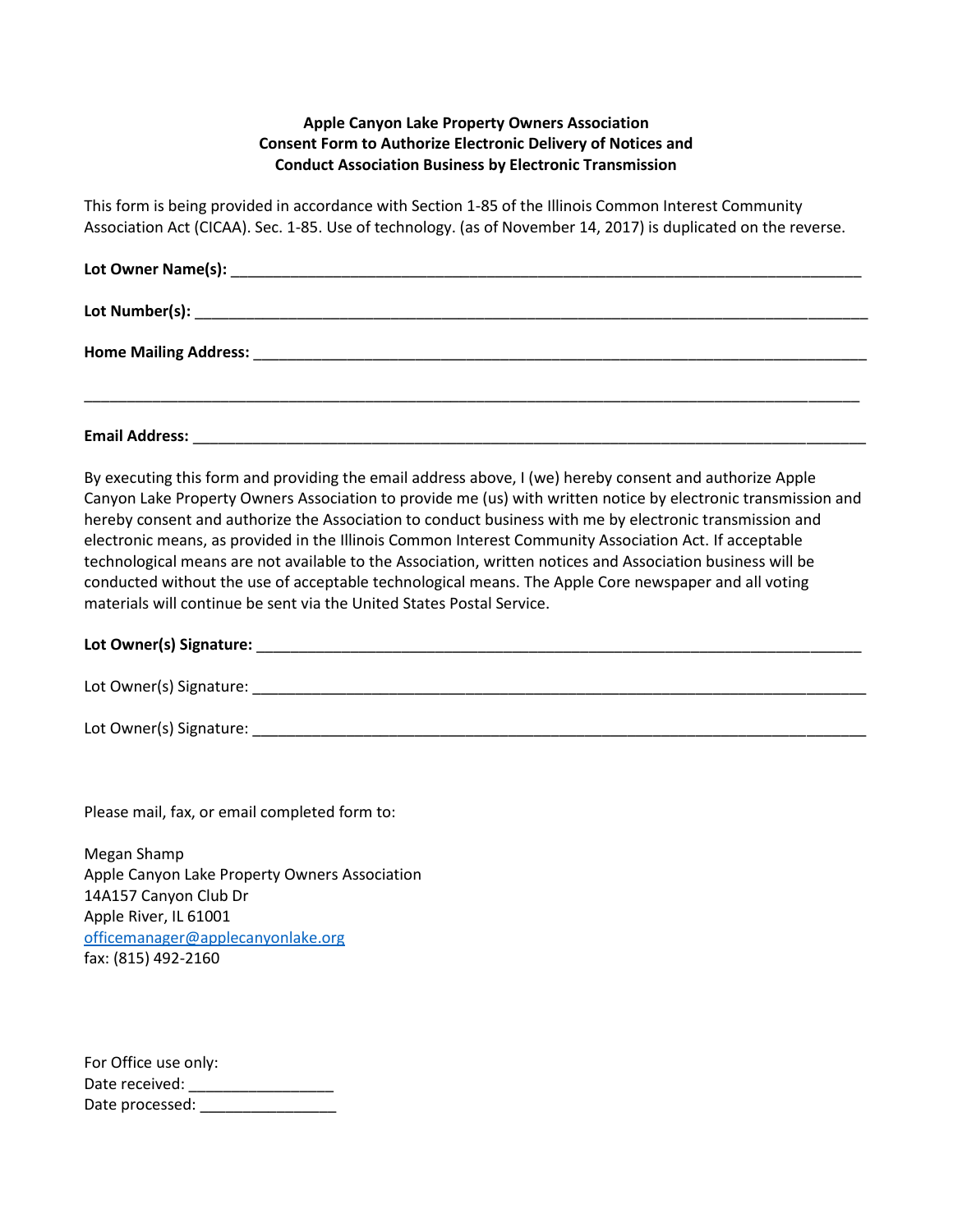## **Apple Canyon Lake Property Owners Association Consent Form to Authorize Electronic Delivery of Notices and Conduct Association Business by Electronic Transmission**

This form is being provided in accordance with Section 1-85 of the Illinois Common Interest Community Association Act (CICAA). Sec. 1-85. Use of technology. (as of November 14, 2017) is duplicated on the reverse.

**Email Address:** <u>and the set of the set of the set of the set of the set of the set of the set of the set of the set of the set of the set of the set of the set of the set of the set of the set of the set of the set of th</u>

By executing this form and providing the email address above, I (we) hereby consent and authorize Apple Canyon Lake Property Owners Association to provide me (us) with written notice by electronic transmission and hereby consent and authorize the Association to conduct business with me by electronic transmission and electronic means, as provided in the Illinois Common Interest Community Association Act. If acceptable technological means are not available to the Association, written notices and Association business will be conducted without the use of acceptable technological means. The Apple Core newspaper and all voting materials will continue be sent via the United States Postal Service.

## **Lot Owner(s) Signature:** \_\_\_\_\_\_\_\_\_\_\_\_\_\_\_\_\_\_\_\_\_\_\_\_\_\_\_\_\_\_\_\_\_\_\_\_\_\_\_\_\_\_\_\_\_\_\_\_\_\_\_\_\_\_\_\_\_\_\_\_\_\_\_\_\_\_\_\_\_\_\_

Lot Owner(s) Signature:  $\Box$ 

Lot Owner(s) Signature: \_\_\_\_\_\_\_\_\_\_\_\_\_\_\_\_\_\_\_\_\_\_\_\_\_\_\_\_\_\_\_\_\_\_\_\_\_\_\_\_\_\_\_\_\_\_\_\_\_\_\_\_\_\_\_\_\_\_\_\_\_\_\_\_\_\_\_\_\_\_\_\_

Please mail, fax, or email completed form to:

Megan Shamp Apple Canyon Lake Property Owners Association 14A157 Canyon Club Dr Apple River, IL 61001 [officemanager@applecanyonlake.org](mailto:officemanager@applecanyonlake.org) fax: (815) 492-2160

For Office use only: Date received: \_\_\_\_\_\_\_\_\_\_\_\_\_\_\_\_\_ Date processed: